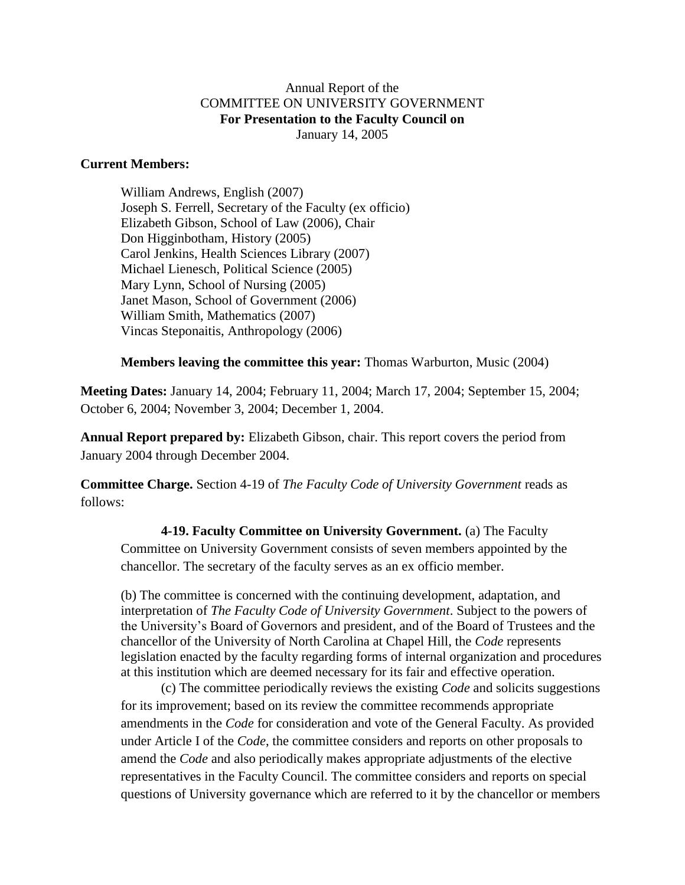## Annual Report of the COMMITTEE ON UNIVERSITY GOVERNMENT **For Presentation to the Faculty Council on** January 14, 2005

## **Current Members:**

William Andrews, English (2007) Joseph S. Ferrell, Secretary of the Faculty (ex officio) Elizabeth Gibson, School of Law (2006), Chair Don Higginbotham, History (2005) Carol Jenkins, Health Sciences Library (2007) Michael Lienesch, Political Science (2005) Mary Lynn, School of Nursing (2005) Janet Mason, School of Government (2006) William Smith, Mathematics (2007) Vincas Steponaitis, Anthropology (2006)

## **Members leaving the committee this year:** Thomas Warburton, Music (2004)

**Meeting Dates:** January 14, 2004; February 11, 2004; March 17, 2004; September 15, 2004; October 6, 2004; November 3, 2004; December 1, 2004.

**Annual Report prepared by:** Elizabeth Gibson, chair. This report covers the period from January 2004 through December 2004.

**Committee Charge.** Section 4-19 of *The Faculty Code of University Government* reads as follows:

**4-19. Faculty Committee on University Government.** (a) The Faculty Committee on University Government consists of seven members appointed by the chancellor. The secretary of the faculty serves as an ex officio member.

(b) The committee is concerned with the continuing development, adaptation, and interpretation of *The Faculty Code of University Government*. Subject to the powers of the University's Board of Governors and president, and of the Board of Trustees and the chancellor of the University of North Carolina at Chapel Hill, the *Code* represents legislation enacted by the faculty regarding forms of internal organization and procedures at this institution which are deemed necessary for its fair and effective operation.

(c) The committee periodically reviews the existing *Code* and solicits suggestions for its improvement; based on its review the committee recommends appropriate amendments in the *Code* for consideration and vote of the General Faculty. As provided under Article I of the *Code*, the committee considers and reports on other proposals to amend the *Code* and also periodically makes appropriate adjustments of the elective representatives in the Faculty Council. The committee considers and reports on special questions of University governance which are referred to it by the chancellor or members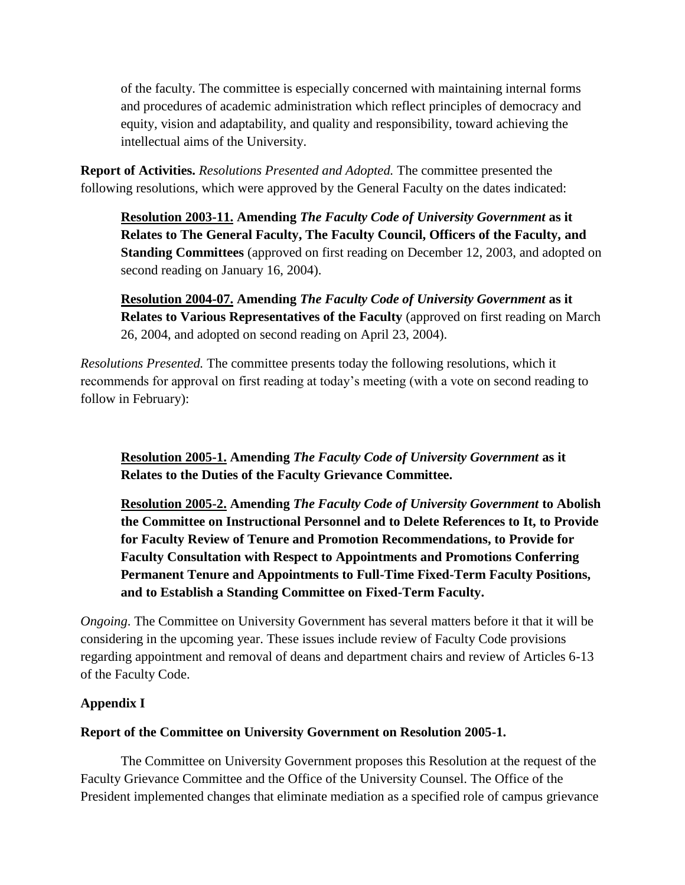of the faculty. The committee is especially concerned with maintaining internal forms and procedures of academic administration which reflect principles of democracy and equity, vision and adaptability, and quality and responsibility, toward achieving the intellectual aims of the University.

**Report of Activities.** *Resolutions Presented and Adopted.* The committee presented the following resolutions, which were approved by the General Faculty on the dates indicated:

**Resolution 2003-11. Amending** *The Faculty Code of University Government* **as it Relates to The General Faculty, The Faculty Council, Officers of the Faculty, and Standing Committees** (approved on first reading on December 12, 2003, and adopted on second reading on January 16, 2004).

**Resolution 2004-07. Amending** *The Faculty Code of University Government* **as it Relates to Various Representatives of the Faculty** (approved on first reading on March 26, 2004, and adopted on second reading on April 23, 2004).

*Resolutions Presented.* The committee presents today the following resolutions, which it recommends for approval on first reading at today's meeting (with a vote on second reading to follow in February):

**Resolution 2005-1. Amending** *The Faculty Code of University Government* **as it Relates to the Duties of the Faculty Grievance Committee.**

**Resolution 2005-2. Amending** *The Faculty Code of University Government* **to Abolish the Committee on Instructional Personnel and to Delete References to It, to Provide for Faculty Review of Tenure and Promotion Recommendations, to Provide for Faculty Consultation with Respect to Appointments and Promotions Conferring Permanent Tenure and Appointments to Full-Time Fixed-Term Faculty Positions, and to Establish a Standing Committee on Fixed-Term Faculty.**

*Ongoing*. The Committee on University Government has several matters before it that it will be considering in the upcoming year. These issues include review of Faculty Code provisions regarding appointment and removal of deans and department chairs and review of Articles 6-13 of the Faculty Code.

# **Appendix I**

# **Report of the Committee on University Government on Resolution 2005-1.**

The Committee on University Government proposes this Resolution at the request of the Faculty Grievance Committee and the Office of the University Counsel. The Office of the President implemented changes that eliminate mediation as a specified role of campus grievance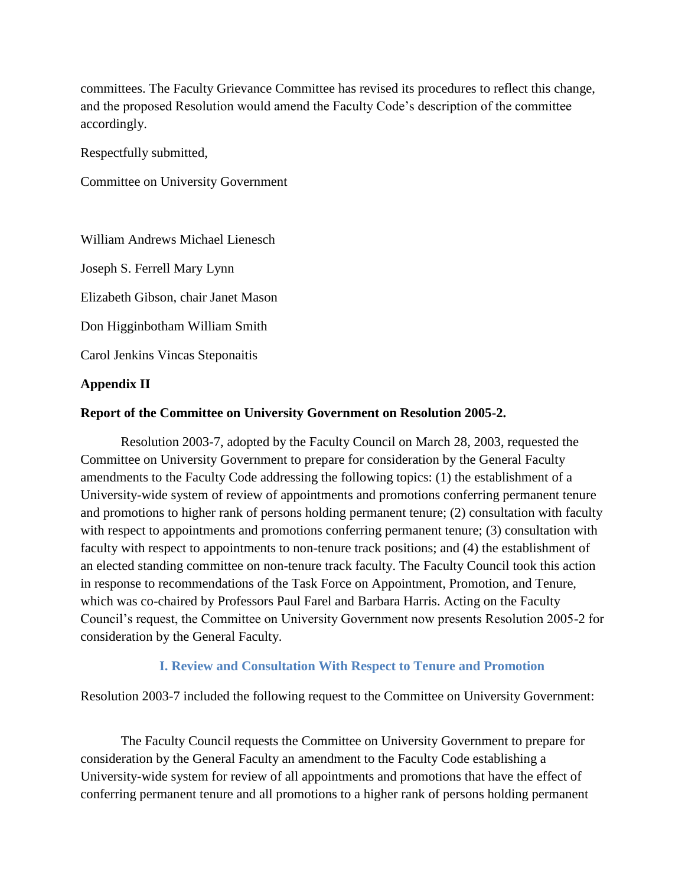committees. The Faculty Grievance Committee has revised its procedures to reflect this change, and the proposed Resolution would amend the Faculty Code's description of the committee accordingly.

Respectfully submitted,

Committee on University Government

William Andrews Michael Lienesch

Joseph S. Ferrell Mary Lynn

Elizabeth Gibson, chair Janet Mason

Don Higginbotham William Smith

Carol Jenkins Vincas Steponaitis

#### **Appendix II**

#### **Report of the Committee on University Government on Resolution 2005-2.**

Resolution 2003-7, adopted by the Faculty Council on March 28, 2003, requested the Committee on University Government to prepare for consideration by the General Faculty amendments to the Faculty Code addressing the following topics: (1) the establishment of a University-wide system of review of appointments and promotions conferring permanent tenure and promotions to higher rank of persons holding permanent tenure; (2) consultation with faculty with respect to appointments and promotions conferring permanent tenure; (3) consultation with faculty with respect to appointments to non-tenure track positions; and (4) the establishment of an elected standing committee on non-tenure track faculty. The Faculty Council took this action in response to recommendations of the Task Force on Appointment, Promotion, and Tenure, which was co-chaired by Professors Paul Farel and Barbara Harris. Acting on the Faculty Council's request, the Committee on University Government now presents Resolution 2005-2 for consideration by the General Faculty.

## **I. Review and Consultation With Respect to Tenure and Promotion**

#### Resolution 2003-7 included the following request to the Committee on University Government:

The Faculty Council requests the Committee on University Government to prepare for consideration by the General Faculty an amendment to the Faculty Code establishing a University-wide system for review of all appointments and promotions that have the effect of conferring permanent tenure and all promotions to a higher rank of persons holding permanent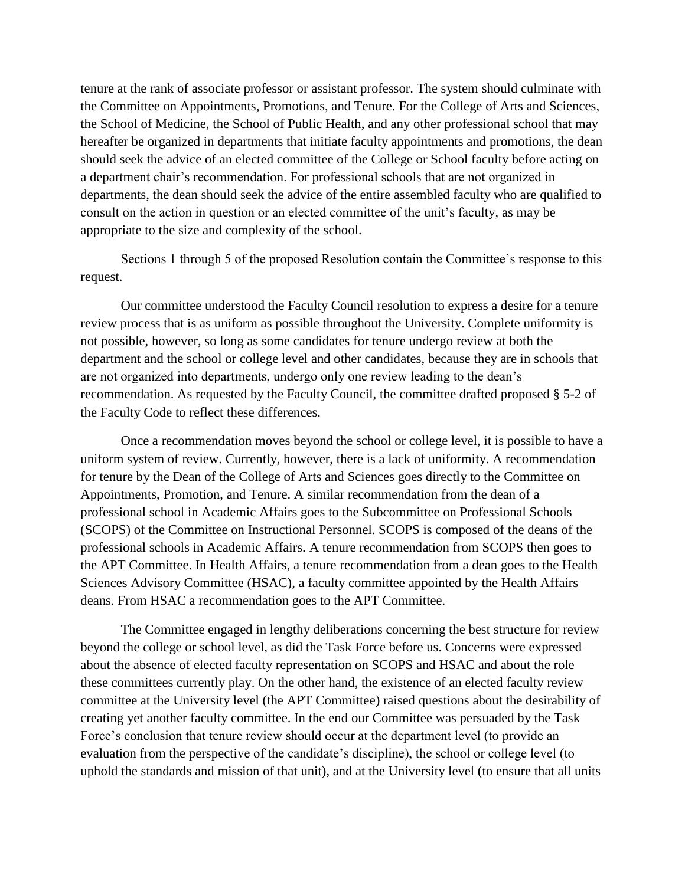tenure at the rank of associate professor or assistant professor. The system should culminate with the Committee on Appointments, Promotions, and Tenure. For the College of Arts and Sciences, the School of Medicine, the School of Public Health, and any other professional school that may hereafter be organized in departments that initiate faculty appointments and promotions, the dean should seek the advice of an elected committee of the College or School faculty before acting on a department chair's recommendation. For professional schools that are not organized in departments, the dean should seek the advice of the entire assembled faculty who are qualified to consult on the action in question or an elected committee of the unit's faculty, as may be appropriate to the size and complexity of the school.

Sections 1 through 5 of the proposed Resolution contain the Committee's response to this request.

Our committee understood the Faculty Council resolution to express a desire for a tenure review process that is as uniform as possible throughout the University. Complete uniformity is not possible, however, so long as some candidates for tenure undergo review at both the department and the school or college level and other candidates, because they are in schools that are not organized into departments, undergo only one review leading to the dean's recommendation. As requested by the Faculty Council, the committee drafted proposed § 5-2 of the Faculty Code to reflect these differences.

Once a recommendation moves beyond the school or college level, it is possible to have a uniform system of review. Currently, however, there is a lack of uniformity. A recommendation for tenure by the Dean of the College of Arts and Sciences goes directly to the Committee on Appointments, Promotion, and Tenure. A similar recommendation from the dean of a professional school in Academic Affairs goes to the Subcommittee on Professional Schools (SCOPS) of the Committee on Instructional Personnel. SCOPS is composed of the deans of the professional schools in Academic Affairs. A tenure recommendation from SCOPS then goes to the APT Committee. In Health Affairs, a tenure recommendation from a dean goes to the Health Sciences Advisory Committee (HSAC), a faculty committee appointed by the Health Affairs deans. From HSAC a recommendation goes to the APT Committee.

The Committee engaged in lengthy deliberations concerning the best structure for review beyond the college or school level, as did the Task Force before us. Concerns were expressed about the absence of elected faculty representation on SCOPS and HSAC and about the role these committees currently play. On the other hand, the existence of an elected faculty review committee at the University level (the APT Committee) raised questions about the desirability of creating yet another faculty committee. In the end our Committee was persuaded by the Task Force's conclusion that tenure review should occur at the department level (to provide an evaluation from the perspective of the candidate's discipline), the school or college level (to uphold the standards and mission of that unit), and at the University level (to ensure that all units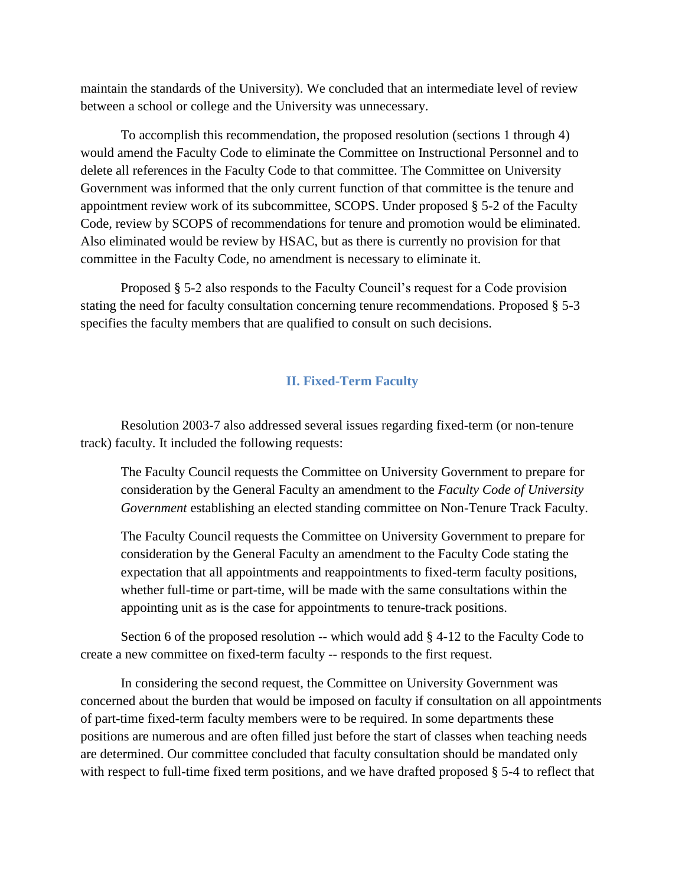maintain the standards of the University). We concluded that an intermediate level of review between a school or college and the University was unnecessary.

To accomplish this recommendation, the proposed resolution (sections 1 through 4) would amend the Faculty Code to eliminate the Committee on Instructional Personnel and to delete all references in the Faculty Code to that committee. The Committee on University Government was informed that the only current function of that committee is the tenure and appointment review work of its subcommittee, SCOPS. Under proposed § 5-2 of the Faculty Code, review by SCOPS of recommendations for tenure and promotion would be eliminated. Also eliminated would be review by HSAC, but as there is currently no provision for that committee in the Faculty Code, no amendment is necessary to eliminate it.

Proposed § 5-2 also responds to the Faculty Council's request for a Code provision stating the need for faculty consultation concerning tenure recommendations. Proposed § 5-3 specifies the faculty members that are qualified to consult on such decisions.

#### **II. Fixed-Term Faculty**

Resolution 2003-7 also addressed several issues regarding fixed-term (or non-tenure track) faculty. It included the following requests:

The Faculty Council requests the Committee on University Government to prepare for consideration by the General Faculty an amendment to the *Faculty Code of University Government* establishing an elected standing committee on Non-Tenure Track Faculty.

The Faculty Council requests the Committee on University Government to prepare for consideration by the General Faculty an amendment to the Faculty Code stating the expectation that all appointments and reappointments to fixed-term faculty positions, whether full-time or part-time, will be made with the same consultations within the appointing unit as is the case for appointments to tenure-track positions.

Section 6 of the proposed resolution -- which would add § 4-12 to the Faculty Code to create a new committee on fixed-term faculty -- responds to the first request.

In considering the second request, the Committee on University Government was concerned about the burden that would be imposed on faculty if consultation on all appointments of part-time fixed-term faculty members were to be required. In some departments these positions are numerous and are often filled just before the start of classes when teaching needs are determined. Our committee concluded that faculty consultation should be mandated only with respect to full-time fixed term positions, and we have drafted proposed § 5-4 to reflect that